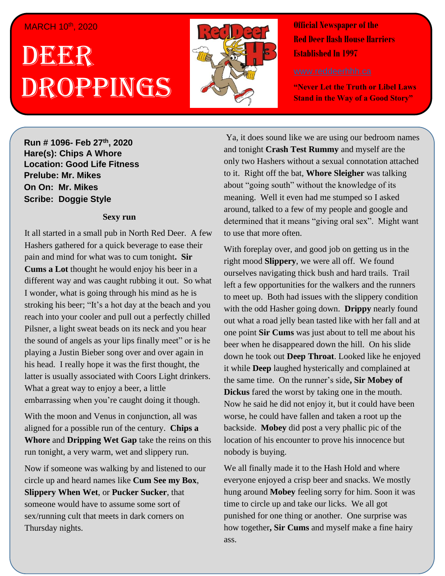#### MARCH 10th, 2020

# . 1 DEER , 2018 Droppings



**Official Newspaper of the Red Deer Hash House Harriers Established In 1997** 

**"Never Let the Truth or Libel Laws Stand in the Way of a Good Story"**

**Run # 1075- Oct. 3 rd, 2019 h H H H H C C C** *C* **<b>C** *C C C C C C C C C C C C C C C C C C C C C C C C C C C C C C* **virgin friend Hare(s): Chips A Whore Location: Good Life Fitness Prelube: Mr. Mikes On On: Mr. Mikes Sir Siri Imir Minos**<br>Basikas Dassais Atela *Have you ever go out after a hard day of a hard day of a hard day of a hard day of a hard day of a hard day of a hard day of a hard day of a hard day of a hard day of a hard day of a hard day of a hard day of a hard day* 

## *work and just have a few drinks with some friends and*  $\alpha$  *few drinks*  $\alpha$  *few drinks*  $\alpha$  *few drinks*  $\alpha$  *few drinks*  $\alpha$  *few drinks*  $\alpha$  *few drinks*  $\alpha$  *few drinks*  $\alpha$  *few drinks*  $\alpha$  *few drinks*  $\alpha$  *few drinks*  $\alpha$  *f*

It all started in a small pub in North Red Deer. A few Hashers gathered for a quick beverage to ease their pain and mind for what was to cum tonight. Sir different way and was caught rubbing it out. So what I wonder, what is going through his mind as he is stroking his beer; "It's a hot day at the beach and you reach into your cooler and pull out a perfectly chilled Pilsner, a light sweat beads on its neck and you hear playing a Justin Bieber song over and over again in his head. I really hope it was the first thought, the latter is usually associated with Coors Light drinkers. What a great way to enjoy a beer, a little **Cums a Lot** thought he would enjoy his beer in a the sound of angels as your lips finally meet" or is he embarrassing when you're caught doing it though.

With the moon and Venus in conjunction, all was aligned for a possible run of the century. **Chips a** Whore and Dripping Wet Gap take the reins on this run tonight, a very warm, wet and slippery run.

Now if someone was walking by and listened to our circle up and heard names like **Cum See my Box**, **Slippery When Wet**, or **Pucker Sucker**, that someone would have to assume some sort of sex/running cult that meets in dark corners on Thursday nights.

Ya, it does sound like we are using our bedroom names and tonight **Crash Test Rummy** and myself are the only two Hashers without a sexual connotation attached to it. Right off the bat, **Whore Sleigher** was talking about "going south" without the knowledge of its meaning. Well it even had me stumped so I asked around, talked to a few of my people and google and determined that it means "giving oral sex". Might want to use that more often.

With foreplay over, and good job on getting us in the right mood **Slippery**, we were all off. We found ourselves navigating thick bush and hard trails. Trail left a few opportunities for the walkers and the runners to meet up. Both had issues with the slippery condition with the odd Hasher going down. **Drippy** nearly found out what a road jelly bean tasted like with her fall and at one point **Sir Cums** was just about to tell me about his beer when he disappeared down the hill. On his slide down he took out **Deep Throat**. Looked like he enjoyed it while **Deep** laughed hysterically and complained at the same time. On the runner's side**, Sir Mobey of Dickus** fared the worst by taking one in the mouth. Now he said he did not enjoy it, but it could have been worse, he could have fallen and taken a root up the backside. **Mobey** did post a very phallic pic of the location of his encounter to prove his innocence but nobody is buying.

We all finally made it to the Hash Hold and where everyone enjoyed a crisp beer and snacks. We mostly hung around **Mobey** feeling sorry for him. Soon it was time to circle up and take our licks. We all got punished for one thing or another. One surprise was how together**, Sir Cums** and myself make a fine hairy ass.